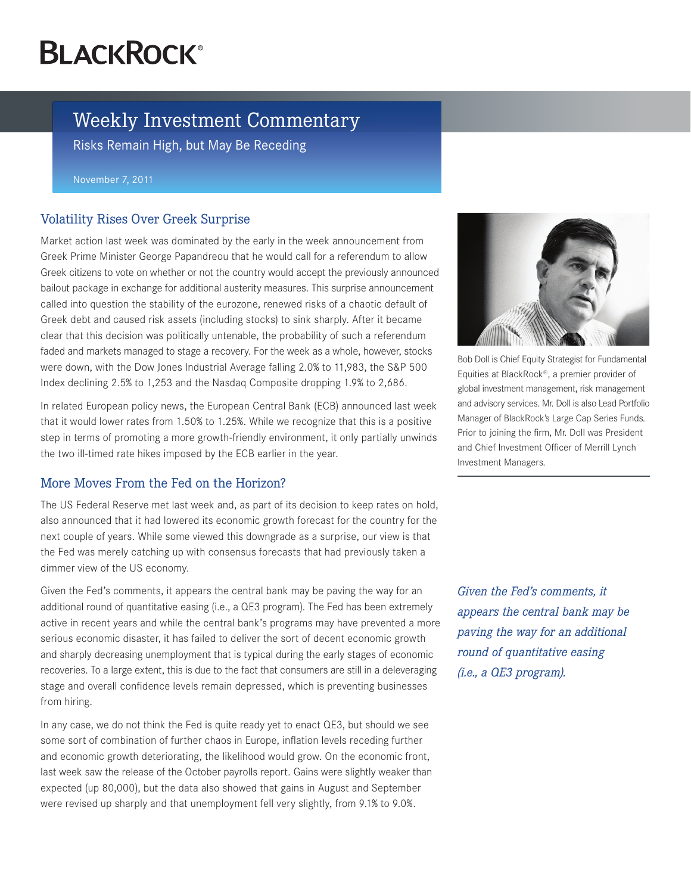# **BLACKROCK®**

## Weekly Investment Commentary

Risks Remain High, but May Be Receding

#### November 7, 2011

### Volatility Rises Over Greek Surprise

Market action last week was dominated by the early in the week announcement from Greek Prime Minister George Papandreou that he would call for a referendum to allow Greek citizens to vote on whether or not the country would accept the previously announced bailout package in exchange for additional austerity measures. This surprise announcement called into question the stability of the eurozone, renewed risks of a chaotic default of Greek debt and caused risk assets (including stocks) to sink sharply. After it became clear that this decision was politically untenable, the probability of such a referendum faded and markets managed to stage a recovery. For the week as a whole, however, stocks were down, with the Dow Jones Industrial Average falling 2.0% to 11,983, the S&P 500 Index declining 2.5% to 1,253 and the Nasdaq Composite dropping 1.9% to 2,686.

In related European policy news, the European Central Bank (ECB) announced last week that it would lower rates from 1.50% to 1.25%. While we recognize that this is a positive step in terms of promoting a more growth-friendly environment, it only partially unwinds the two ill-timed rate hikes imposed by the ECB earlier in the year.

## More Moves From the Fed on the Horizon?

The US Federal Reserve met last week and, as part of its decision to keep rates on hold, also announced that it had lowered its economic growth forecast for the country for the next couple of years. While some viewed this downgrade as a surprise, our view is that the Fed was merely catching up with consensus forecasts that had previously taken a dimmer view of the US economy.

Given the Fed's comments, it appears the central bank may be paving the way for an additional round of quantitative easing (i.e., a QE3 program). The Fed has been extremely active in recent years and while the central bank's programs may have prevented a more serious economic disaster, it has failed to deliver the sort of decent economic growth and sharply decreasing unemployment that is typical during the early stages of economic recoveries. To a large extent, this is due to the fact that consumers are still in a deleveraging stage and overall confidence levels remain depressed, which is preventing businesses from hiring.

In any case, we do not think the Fed is quite ready yet to enact QE3, but should we see some sort of combination of further chaos in Europe, inflation levels receding further and economic growth deteriorating, the likelihood would grow. On the economic front, last week saw the release of the October payrolls report. Gains were slightly weaker than expected (up 80,000), but the data also showed that gains in August and September were revised up sharply and that unemployment fell very slightly, from 9.1% to 9.0%.



Bob Doll is Chief Equity Strategist for Fundamental Equities at BlackRock®, a premier provider of global investment management, risk management and advisory services. Mr. Doll is also Lead Portfolio Manager of BlackRock's Large Cap Series Funds. Prior to joining the firm, Mr. Doll was President and Chief Investment Officer of Merrill Lynch Investment Managers.

*Given the Fed's comments, it appears the central bank may be paving the way for an additional round of quantitative easing (i.e., a QE3 program).*